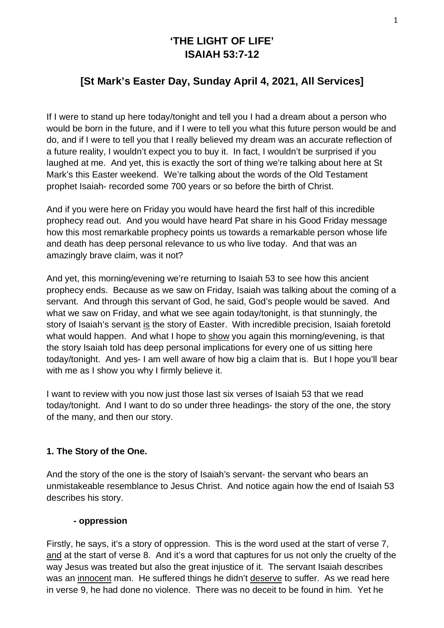# **'THE LIGHT OF LIFE' ISAIAH 53:7-12**

## **[St Mark's Easter Day, Sunday April 4, 2021, All Services]**

If I were to stand up here today/tonight and tell you I had a dream about a person who would be born in the future, and if I were to tell you what this future person would be and do, and if I were to tell you that I really believed my dream was an accurate reflection of a future reality, I wouldn't expect you to buy it. In fact, I wouldn't be surprised if you laughed at me. And yet, this is exactly the sort of thing we're talking about here at St Mark's this Easter weekend. We're talking about the words of the Old Testament prophet Isaiah- recorded some 700 years or so before the birth of Christ.

And if you were here on Friday you would have heard the first half of this incredible prophecy read out. And you would have heard Pat share in his Good Friday message how this most remarkable prophecy points us towards a remarkable person whose life and death has deep personal relevance to us who live today. And that was an amazingly brave claim, was it not?

And yet, this morning/evening we're returning to Isaiah 53 to see how this ancient prophecy ends. Because as we saw on Friday, Isaiah was talking about the coming of a servant. And through this servant of God, he said, God's people would be saved. And what we saw on Friday, and what we see again today/tonight, is that stunningly, the story of Isaiah's servant is the story of Easter. With incredible precision, Isaiah foretold what would happen. And what I hope to show you again this morning/evening, is that the story Isaiah told has deep personal implications for every one of us sitting here today/tonight. And yes- I am well aware of how big a claim that is. But I hope you'll bear with me as I show you why I firmly believe it.

I want to review with you now just those last six verses of Isaiah 53 that we read today/tonight. And I want to do so under three headings- the story of the one, the story of the many, and then our story.

#### **1. The Story of the One.**

And the story of the one is the story of Isaiah's servant- the servant who bears an unmistakeable resemblance to Jesus Christ. And notice again how the end of Isaiah 53 describes his story.

#### **- oppression**

Firstly, he says, it's a story of oppression. This is the word used at the start of verse 7, and at the start of verse 8. And it's a word that captures for us not only the cruelty of the way Jesus was treated but also the great injustice of it. The servant Isaiah describes was an innocent man. He suffered things he didn't deserve to suffer. As we read here in verse 9, he had done no violence. There was no deceit to be found in him. Yet he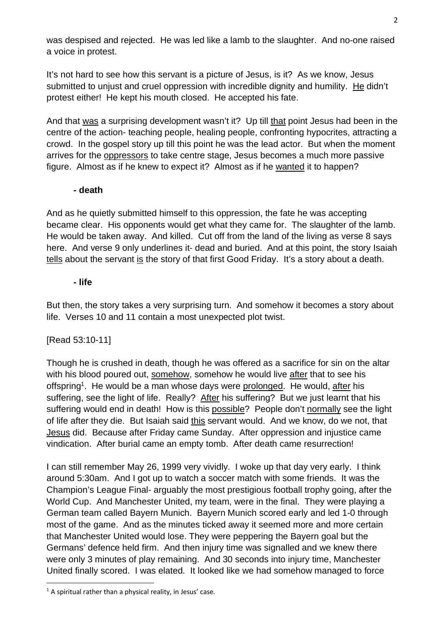was despised and rejected. He was led like a lamb to the slaughter. And no-one raised a voice in protest.

It's not hard to see how this servant is a picture of Jesus, is it? As we know, Jesus submitted to unjust and cruel oppression with incredible dignity and humility. He didn't protest either! He kept his mouth closed. He accepted his fate.

And that was a surprising development wasn't it? Up till that point Jesus had been in the centre of the action- teaching people, healing people, confronting hypocrites, attracting a crowd. In the gospel story up till this point he was the lead actor. But when the moment arrives for the oppressors to take centre stage, Jesus becomes a much more passive figure. Almost as if he knew to expect it? Almost as if he wanted it to happen?

#### **- death**

And as he quietly submitted himself to this oppression, the fate he was accepting became clear. His opponents would get what they came for. The slaughter of the lamb. He would be taken away. And killed. Cut off from the land of the living as verse 8 says here. And verse 9 only underlines it- dead and buried. And at this point, the story Isaiah tells about the servant is the story of that first Good Friday. It's a story about a death.

#### **- life**

But then, the story takes a very surprising turn. And somehow it becomes a story about life. Verses 10 and 11 contain a most unexpected plot twist.

## [Read 53:10-11]

Though he is crushed in death, though he was offered as a sacrifice for sin on the altar with his blood poured out, somehow, somehow he would live after that to see his offspring<sup>1</sup>. He would be a man whose days were prolonged. He would, after his suffering, see the light of life. Really? After his suffering? But we just learnt that his suffering would end in death! How is this possible? People don't normally see the light of life after they die. But Isaiah said this servant would. And we know, do we not, that Jesus did. Because after Friday came Sunday. After oppression and injustice came vindication. After burial came an empty tomb. After death came resurrection!

I can still remember May 26, 1999 very vividly. I woke up that day very early. I think around 5:30am. And I got up to watch a soccer match with some friends. It was the Champion's League Final- arguably the most prestigious football trophy going, after the World Cup. And Manchester United, my team, were in the final. They were playing a German team called Bayern Munich. Bayern Munich scored early and led 1-0 through most of the game. And as the minutes ticked away it seemed more and more certain that Manchester United would lose. They were peppering the Bayern goal but the Germans' defence held firm. And then injury time was signalled and we knew there were only 3 minutes of play remaining. And 30 seconds into injury time, Manchester United finally scored. I was elated. It looked like we had somehow managed to force

 $<sup>1</sup>$  A spiritual rather than a physical reality, in Jesus' case.</sup>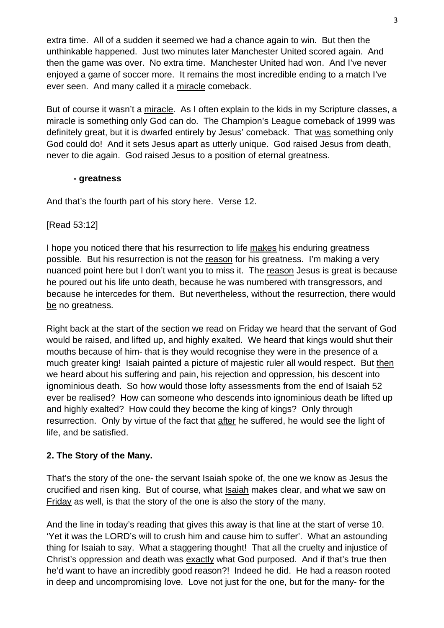extra time. All of a sudden it seemed we had a chance again to win. But then the unthinkable happened. Just two minutes later Manchester United scored again. And then the game was over. No extra time. Manchester United had won. And I've never enjoyed a game of soccer more. It remains the most incredible ending to a match I've ever seen. And many called it a miracle comeback.

But of course it wasn't a miracle. As I often explain to the kids in my Scripture classes, a miracle is something only God can do. The Champion's League comeback of 1999 was definitely great, but it is dwarfed entirely by Jesus' comeback. That was something only God could do! And it sets Jesus apart as utterly unique. God raised Jesus from death, never to die again. God raised Jesus to a position of eternal greatness.

## **- greatness**

And that's the fourth part of his story here. Verse 12.

[Read 53:12]

I hope you noticed there that his resurrection to life makes his enduring greatness possible. But his resurrection is not the reason for his greatness. I'm making a very nuanced point here but I don't want you to miss it. The reason Jesus is great is because he poured out his life unto death, because he was numbered with transgressors, and because he intercedes for them. But nevertheless, without the resurrection, there would be no greatness.

Right back at the start of the section we read on Friday we heard that the servant of God would be raised, and lifted up, and highly exalted. We heard that kings would shut their mouths because of him- that is they would recognise they were in the presence of a much greater king! Isaiah painted a picture of majestic ruler all would respect. But then we heard about his suffering and pain, his rejection and oppression, his descent into ignominious death. So how would those lofty assessments from the end of Isaiah 52 ever be realised? How can someone who descends into ignominious death be lifted up and highly exalted? How could they become the king of kings? Only through resurrection. Only by virtue of the fact that after he suffered, he would see the light of life, and be satisfied.

## **2. The Story of the Many.**

That's the story of the one- the servant Isaiah spoke of, the one we know as Jesus the crucified and risen king. But of course, what Isaiah makes clear, and what we saw on Friday as well, is that the story of the one is also the story of the many.

And the line in today's reading that gives this away is that line at the start of verse 10. 'Yet it was the LORD's will to crush him and cause him to suffer'. What an astounding thing for Isaiah to say. What a staggering thought! That all the cruelty and injustice of Christ's oppression and death was exactly what God purposed. And if that's true then he'd want to have an incredibly good reason?! Indeed he did. He had a reason rooted in deep and uncompromising love. Love not just for the one, but for the many- for the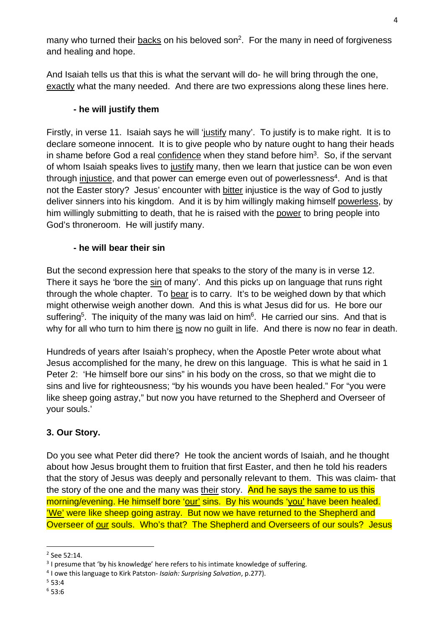many who turned their backs on his beloved son<sup>2</sup>. For the many in need of forgiveness and healing and hope.

And Isaiah tells us that this is what the servant will do- he will bring through the one, exactly what the many needed. And there are two expressions along these lines here.

## **- he will justify them**

Firstly, in verse 11. Isaiah says he will 'justify many'. To justify is to make right. It is to declare someone innocent. It is to give people who by nature ought to hang their heads in shame before God a real confidence when they stand before him<sup>3</sup>. So, if the servant of whom Isaiah speaks lives to justify many, then we learn that justice can be won even through injustice, and that power can emerge even out of powerlessness<sup>4</sup>. And is that not the Easter story? Jesus' encounter with bitter injustice is the way of God to justly deliver sinners into his kingdom. And it is by him willingly making himself powerless, by him willingly submitting to death, that he is raised with the power to bring people into God's throneroom. He will justify many.

## **- he will bear their sin**

But the second expression here that speaks to the story of the many is in verse 12. There it says he 'bore the sin of many'. And this picks up on language that runs right through the whole chapter. To bear is to carry. It's to be weighed down by that which might otherwise weigh another down. And this is what Jesus did for us. He bore our suffering<sup>5</sup>. The iniquity of the many was laid on him<sup>6</sup>. He carried our sins. And that is why for all who turn to him there is now no guilt in life. And there is now no fear in death.

Hundreds of years after Isaiah's prophecy, when the Apostle Peter wrote about what Jesus accomplished for the many, he drew on this language. This is what he said in 1 Peter 2: 'He himself bore our sins" in his body on the cross, so that we might die to sins and live for righteousness; "by his wounds you have been healed." For "you were like sheep going astray," but now you have returned to the Shepherd and Overseer of your souls.'

## **3. Our Story.**

Do you see what Peter did there? He took the ancient words of Isaiah, and he thought about how Jesus brought them to fruition that first Easter, and then he told his readers that the story of Jesus was deeply and personally relevant to them. This was claim- that the story of the one and the many was their story. And he says the same to us this morning/evening. He himself bore 'our' sins. By his wounds 'you' have been healed. 'We' were like sheep going astray. But now we have returned to the Shepherd and Overseer of our souls. Who's that? The Shepherd and Overseers of our souls? Jesus

 $2$  See 52:14.

<sup>&</sup>lt;sup>3</sup> I presume that 'by his knowledge' here refers to his intimate knowledge of suffering.

<sup>4</sup> I owe this language to Kirk Patston- *Isaiah: Surprising Salvation*, p.277). 5

 $553:4$